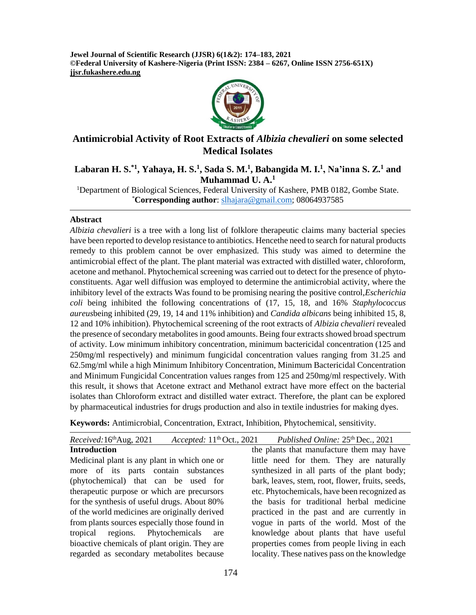**Jewel Journal of Scientific Research (JJSR) 6(1&2): 174–183, 2021 ©Federal University of Kashere-Nigeria (Print ISSN: 2384 – 6267, Online ISSN 2756-651X) jjsr.fukashere.edu.ng**



# **Antimicrobial Activity of Root Extracts of** *Albizia chevalieri* **on some selected Medical Isolates**

## **Labaran H. S.\*1, Yahaya, H. S.<sup>1</sup> , Sada S. M.<sup>1</sup> , Babangida M. I.<sup>1</sup> , Na'inna S. Z.<sup>1</sup> and Muhammad U. A.<sup>1</sup>**

<sup>1</sup>Department of Biological Sciences, Federal University of Kashere, PMB 0182, Gombe State. \***Corresponding author**: [slhajara@gmail.com;](mailto:slhajara@gmail.com) 08064937585

#### **Abstract**

*Albizia chevalieri* is a tree with a long list of folklore therapeutic claims many bacterial species have been reported to develop resistance to antibiotics. Hencethe need to search for natural products remedy to this problem cannot be over emphasized. This study was aimed to determine the antimicrobial effect of the plant. The plant material was extracted with distilled water, chloroform, acetone and methanol. Phytochemical screening was carried out to detect for the presence of phytoconstituents. Agar well diffusion was employed to determine the antimicrobial activity, where the inhibitory level of the extracts Was found to be promising nearing the positive control,*Escherichia coli* being inhibited the following concentrations of (17, 15, 18, and 16% *Staphylococcus aureus*being inhibited (29, 19, 14 and 11% inhibition) and *Candida albicans* being inhibited 15, 8, 12 and 10% inhibition). Phytochemical screening of the root extracts of *Albizia chevalieri* revealed the presence of secondary metabolites in good amounts. Being four extracts showed broad spectrum of activity. Low minimum inhibitory concentration, minimum bactericidal concentration (125 and 250mg/ml respectively) and minimum fungicidal concentration values ranging from 31.25 and 62.5mg/ml while a high Minimum Inhibitory Concentration, Minimum Bactericidal Concentration and Minimum Fungicidal Concentration values ranges from 125 and 250mg/ml respectively. With this result, it shows that Acetone extract and Methanol extract have more effect on the bacterial isolates than Chloroform extract and distilled water extract. Therefore, the plant can be explored by pharmaceutical industries for drugs production and also in textile industries for making dyes.

**Keywords:** Antimicrobial, Concentration, Extract, Inhibition, Phytochemical, sensitivity.

| Received: 16th Aug, 2021                      | Accepted: 11 <sup>th</sup> Oct., 2021 Published Online: 25 <sup>th</sup> Dec., 2021 |
|-----------------------------------------------|-------------------------------------------------------------------------------------|
| <b>Introduction</b>                           | the plants that manufacture them may have                                           |
| Medicinal plant is any plant in which one or  | little need for them. They are naturally                                            |
| more of its parts contain substances          | synthesized in all parts of the plant body;                                         |
| (phytochemical) that can be used for          | bark, leaves, stem, root, flower, fruits, seeds,                                    |
| therapeutic purpose or which are precursors   | etc. Phytochemicals, have been recognized as                                        |
| for the synthesis of useful drugs. About 80%  | the basis for traditional herbal medicine                                           |
| of the world medicines are originally derived | practiced in the past and are currently in                                          |
| from plants sources especially those found in | vogue in parts of the world. Most of the                                            |
| tropical regions. Phytochemicals are          | knowledge about plants that have useful                                             |
| bioactive chemicals of plant origin. They are | properties comes from people living in each                                         |
| regarded as secondary metabolites because     | locality. These natives pass on the knowledge                                       |
|                                               |                                                                                     |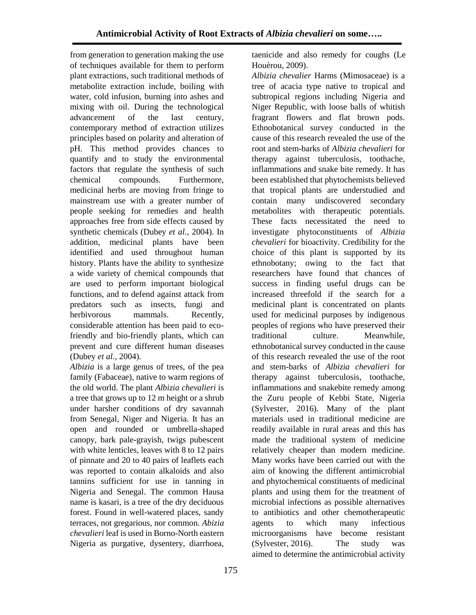from generation to generation making the use of techniques available for them to perform plant extractions, such traditional methods of metabolite extraction include, boiling with water, cold infusion, burning into ashes and mixing with oil. During the technological advancement of the last century, contemporary method of extraction utilizes principles based on polarity and alteration of pH. This method provides chances to quantify and to study the environmental factors that regulate the synthesis of such chemical compounds. Furthermore, medicinal herbs are moving from fringe to mainstream use with a greater number of people seeking for remedies and health approaches free from side effects caused by synthetic chemicals (Dubey *et al.*, 2004). In addition, medicinal plants have been identified and used throughout human history. Plants have the ability to synthesize a wide variety of chemical compounds that are used to perform important biological functions, and to defend against attack from predators such as insects, fungi and herbivorous mammals. Recently, considerable attention has been paid to ecofriendly and bio-friendly plants, which can prevent and cure different human diseases (Dubey *et al.*, 2004).

*Albizia* is a large genus of trees, of the pea family (Fabaceae), native to warm regions of the old world. The plant *Albizia chevalieri* is a tree that grows up to 12 m height or a shrub under harsher conditions of dry savannah from Senegal, Niger and Nigeria. It has an open and rounded or umbrella-shaped canopy, bark pale-grayish, twigs pubescent with white lenticles, leaves with 8 to 12 pairs of pinnate and 20 to 40 pairs of leaflets each was reported to contain alkaloids and also tannins sufficient for use in tanning in Nigeria and Senegal. The common Hausa name is kasari, is a tree of the dry deciduous forest. Found in well-watered places, sandy terraces, not gregarious, nor common. *Abizia chevalieri* leaf is used in Borno-North eastern Nigeria as purgative, dysentery, diarrhoea,

taenicide and also remedy for coughs (Le Houèrou, 2009).

*Albizia chevalier* Harms (Mimosaceae) is a tree of acacia type native to tropical and subtropical regions including Nigeria and Niger Republic, with loose balls of whitish fragrant flowers and flat brown pods. Ethnobotanical survey conducted in the cause of this research revealed the use of the root and stem-barks of *Albizia chevalieri* for therapy against tuberculosis, toothache, inflammations and snake bite remedy. It has been established that phytochemists believed that tropical plants are understudied and contain many undiscovered secondary metabolites with therapeutic potentials. These facts necessitated the need to investigate phytoconstituents of *Albizia chevalieri* for bioactivity. Credibility for the choice of this plant is supported by its ethnobotany; owing to the fact that researchers have found that chances of success in finding useful drugs can be increased threefold if the search for a medicinal plant is concentrated on plants used for medicinal purposes by indigenous peoples of regions who have preserved their traditional culture. Meanwhile, ethnobotanical survey conducted in the cause of this research revealed the use of the root and stem-barks of *Albizia chevalieri* for therapy against tuberculosis, toothache, inflammations and snakebite remedy among the Zuru people of Kebbi State, Nigeria (Sylvester, 2016). Many of the plant materials used in traditional medicine are readily available in rural areas and this has made the traditional system of medicine relatively cheaper than modern medicine. Many works have been carried out with the aim of knowing the different antimicrobial and phytochemical constituents of medicinal plants and using them for the treatment of microbial infections as possible alternatives to antibiotics and other chemotherapeutic agents to which many infectious microorganisms have become resistant (Sylvester, 2016). The study was aimed to determine the antimicrobial activity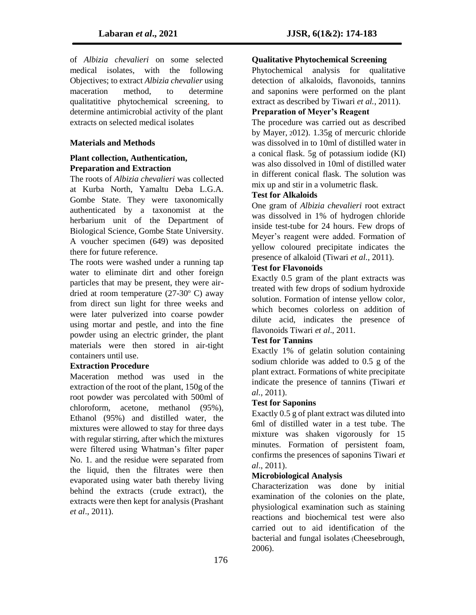of *Albizia chevalieri* on some selected medical isolates, with the following Objectives; to extract *Albizia chevalier* using maceration method, to determine qualitatitive phytochemical screening, to determine antimicrobial activity of the plant extracts on selected medical isolates

## **Materials and Methods**

#### **Plant collection, Authentication, Preparation and Extraction**

The roots of *Albizia chevalieri* was collected at Kurba North, Yamaltu Deba L.G.A. Gombe State. They were taxonomically authenticated by a taxonomist at the herbarium unit of the Department of Biological Science, Gombe State University. A voucher specimen (649) was deposited there for future reference.

The roots were washed under a running tap water to eliminate dirt and other foreign particles that may be present, they were airdried at room temperature  $(27-30)$ ° C) away from direct sun light for three weeks and were later pulverized into coarse powder using mortar and pestle, and into the fine powder using an electric grinder, the plant materials were then stored in air-tight containers until use.

#### **Extraction Procedure**

Maceration method was used in the extraction of the root of the plant, 150g of the root powder was percolated with 500ml of chloroform, acetone, methanol (95%), Ethanol (95%) and distilled water, the mixtures were allowed to stay for three days with regular stirring, after which the mixtures were filtered using Whatman's filter paper No. 1. and the residue were separated from the liquid, then the filtrates were then evaporated using water bath thereby living behind the extracts (crude extract), the extracts were then kept for analysis (Prashant *et al*., 2011).

## **Qualitative Phytochemical Screening**

Phytochemical analysis for qualitative detection of alkaloids, flavonoids, tannins and saponins were performed on the plant extract as described by Tiwari *et al.*, 2011).

## **Preparation of Meyer's Reagent**

The procedure was carried out as described by Mayer, 2012). 1.35g of mercuric chloride was dissolved in to 10ml of distilled water in a conical flask. 5g of potassium iodide (KI) was also dissolved in 10ml of distilled water in different conical flask. The solution was mix up and stir in a volumetric flask.

#### **Test for Alkaloids**

One gram of *Albizia chevalieri* root extract was dissolved in 1% of hydrogen chloride inside test-tube for 24 hours. Few drops of Meyer's reagent were added. Formation of yellow coloured precipitate indicates the presence of alkaloid (Tiwari *et al.,* 2011).

#### **Test for Flavonoids**

Exactly 0.5 gram of the plant extracts was treated with few drops of sodium hydroxide solution. Formation of intense yellow color, which becomes colorless on addition of dilute acid, indicates the presence of flavonoids Tiwari *et al*., 2011.

#### **Test for Tannins**

Exactly 1% of gelatin solution containing sodium chloride was added to 0.5 g of the plant extract. Formations of white precipitate indicate the presence of tannins (Tiwari *et al.*, 2011).

#### **Test for Saponins**

Exactly 0.5 g of plant extract was diluted into 6ml of distilled water in a test tube. The mixture was shaken vigorously for 15 minutes. Formation of persistent foam, confirms the presences of saponins Tiwari *et al*., 2011).

#### **Microbiological Analysis**

Characterization was done by initial examination of the colonies on the plate, physiological examination such as staining reactions and biochemical test were also carried out to aid identification of the bacterial and fungal isolates (Cheesebrough, 2006).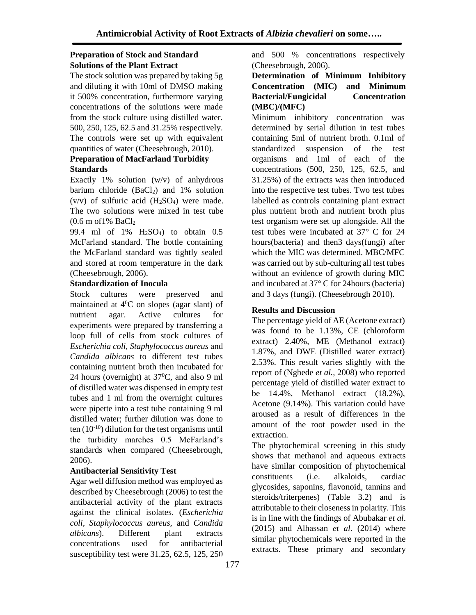#### **Preparation of Stock and Standard Solutions of the Plant Extract**

The stock solution was prepared by taking 5g and diluting it with 10ml of DMSO making it 500% concentration, furthermore varying concentrations of the solutions were made from the stock culture using distilled water. 500, 250, 125, 62.5 and 31.25% respectively. The controls were set up with equivalent quantities of water (Cheesebrough, 2010).

#### **Preparation of MacFarland Turbidity Standards**

Exactly 1% solution (w/v) of anhydrous barium chloride  $(BaCl<sub>2</sub>)$  and 1% solution (v/v) of sulfuric acid  $(H<sub>2</sub>SO<sub>4</sub>)$  were made. The two solutions were mixed in test tube  $(0.6 \text{ m of } 1\% \text{ Bacl}_2)$ 

99.4 ml of  $1\%$  H<sub>2</sub>SO<sub>4</sub>) to obtain 0.5 McFarland standard. The bottle containing the McFarland standard was tightly sealed and stored at room temperature in the dark (Cheesebrough, 2006).

#### **Standardization of Inocula**

Stock cultures were preserved and maintained at  $4^{\circ}$ C on slopes (agar slant) of nutrient agar. Active cultures for experiments were prepared by transferring a loop full of cells from stock cultures of *Escherichia coli, Staphylococcus aureus* and *Candida albicans* to different test tubes containing nutrient broth then incubated for 24 hours (overnight) at  $37^{\circ}$ C, and also 9 ml of distilled water was dispensed in empty test tubes and 1 ml from the overnight cultures were pipette into a test tube containing 9 ml distilled water; further dilution was done to ten  $(10^{-10})$  dilution for the test organisms until the turbidity marches 0.5 McFarland's standards when compared (Cheesebrough, 2006).

#### **Antibacterial Sensitivity Test**

Agar well diffusion method was employed as described by Cheesebrough (2006) to test the antibacterial activity of the plant extracts against the clinical isolates. (*Escherichia coli, Staphylococcus aureus,* and *Candida albicans*). Different plant extracts concentrations used for antibacterial susceptibility test were 31.25, 62.5, 125, 250 and 500 % concentrations respectively (Cheesebrough, 2006).

#### **Determination of Minimum Inhibitory Concentration (MIC) and Minimum Bacterial/Fungicidal Concentration (MBC)/(MFC)**

Minimum inhibitory concentration was determined by serial dilution in test tubes containing 5ml of nutrient broth. 0.1ml of standardized suspension of the test organisms and 1ml of each of the concentrations (500, 250, 125, 62.5, and 31.25%) of the extracts was then introduced into the respective test tubes. Two test tubes labelled as controls containing plant extract plus nutrient broth and nutrient broth plus test organism were set up alongside. All the test tubes were incubated at 37° C for 24 hours(bacteria) and then3 days(fungi) after which the MIC was determined. MBC/MFC was carried out by sub-culturing all test tubes without an evidence of growth during MIC and incubated at 37° C for 24hours (bacteria) and 3 days (fungi). (Cheesebrough 2010).

## **Results and Discussion**

The percentage yield of AE (Acetone extract) was found to be 1.13%, CE (chloroform extract) 2.40%, ME (Methanol extract) 1.87%, and DWE (Distilled water extract) 2.53%. This result varies slightly with the report of (Ngbede *et al.,* 2008) who reported percentage yield of distilled water extract to be 14.4%, Methanol extract (18.2%), Acetone (9.14%). This variation could have aroused as a result of differences in the amount of the root powder used in the extraction.

The phytochemical screening in this study shows that methanol and aqueous extracts have similar composition of phytochemical constituents (i.e. alkaloids, cardiac glycosides, saponins, flavonoid, tannins and steroids/triterpenes) (Table 3.2) and is attributable to their closeness in polarity. This is in line with the findings of Abubakar *et al*. (2015) and Alhassan *et al*. (2014) where similar phytochemicals were reported in the extracts. These primary and secondary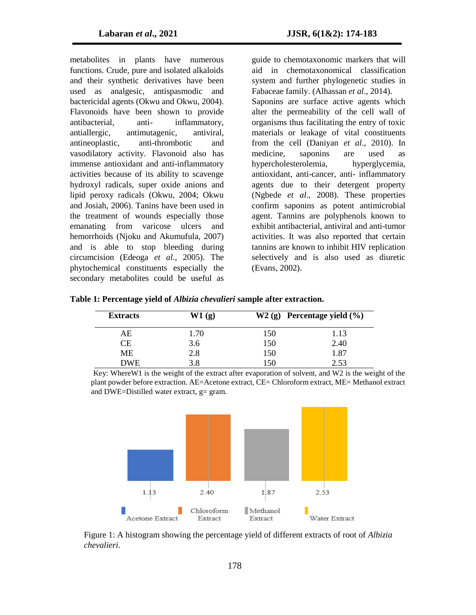metabolites in plants have numerous functions. Crude, pure and isolated alkaloids and their synthetic derivatives have been used as analgesic, antispasmodic and bactericidal agents (Okwu and Okwu, 2004). Flavonoids have been shown to provide antibacterial, anti- inflammatory, antiallergic, antimutagenic, antiviral, antineoplastic, anti-thrombotic and vasodilatory activity. Flavonoid also has immense antioxidant and anti-inflammatory activities because of its ability to scavenge hydroxyl radicals, super oxide anions and lipid peroxy radicals (Okwu, 2004; Okwu and Josiah, 2006). Tanins have been used in the treatment of wounds especially those emanating from varicose ulcers and hemorrhoids (Njoku and Akumufula, 2007) and is able to stop bleeding during circumcision (Edeoga *et al*., 2005). The phytochemical constituents especially the secondary metabolites could be useful as

guide to chemotaxonomic markers that will aid in chemotaxonomical classification system and further phylogenetic studies in Fabaceae family. (Alhassan *et al*., 2014). Saponins are surface active agents which alter the permeability of the cell wall of organisms thus facilitating the entry of toxic materials or leakage of vital constituents from the cell (Daniyan *et al*., 2010). In medicine, saponins are used as hypercholesterolemia, hyperglycemia, antioxidant, anti-cancer, anti- inflammatory agents due to their detergent property (Ngbede *et al*., 2008). These properties confirm saponins as potent antimicrobial agent. Tannins are polyphenols known to exhibit antibacterial, antiviral and anti-tumor activities. It was also reported that certain tannins are known to inhibit HIV replication selectively and is also used as diuretic (Evans, 2002).

| Table 1: Percentage yield of <i>Albizia chevalieri</i> sample after extraction. |
|---------------------------------------------------------------------------------|
|---------------------------------------------------------------------------------|

| <b>Extracts</b> | W1(g) |     | $W2(g)$ Percentage yield $(\%)$ |
|-----------------|-------|-----|---------------------------------|
| AЕ              | 1.70  | 150 | 1.13                            |
| CЕ              | 3.6   | 150 | 2.40                            |
| <b>ME</b>       | 2.8   | 150 | 1.87                            |
| <b>DWE</b>      | 3.8   | 150 | 2.53                            |

Key: WhereW1 is the weight of the extract after evaporation of solvent, and W2 is the weight of the plant powder before extraction. AE=Acetone extract, CE= Chloroform extract, ME= Methanol extract and DWE=Distilled water extract,  $g=$  gram.



Figure 1: A histogram showing the percentage yield of different extracts of root of *Albizia chevalieri*.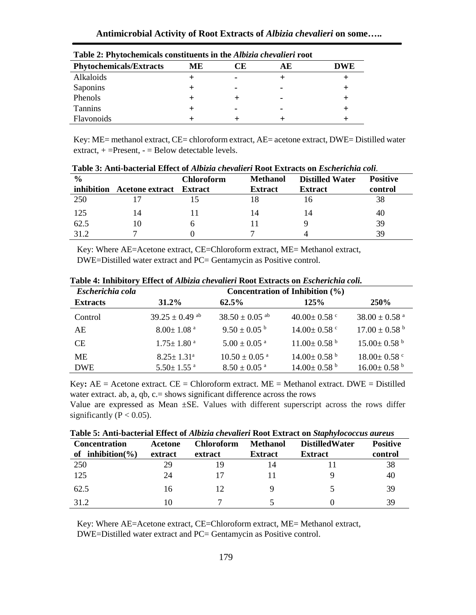| <b>Phytochemicals/Extracts</b> | ME | JЕ | AЕ | <b>DWE</b> |
|--------------------------------|----|----|----|------------|
| Alkaloids                      |    |    |    |            |
| Saponins                       |    |    | ۰  |            |
| Phenols                        |    |    | ۰  |            |
| Tannins                        |    |    | ۰  |            |
| Flavonoids                     |    |    |    |            |

**Table 2: Phytochemicals constituents in the** *Albizia chevalieri* **root**

Key: ME= methanol extract, CE= chloroform extract, AE= acetone extract, DWE= Distilled water extract,  $+$  =Present,  $-$  = Below detectable levels.

| $\frac{0}{0}$ |                                | <b>Chloroform</b> | <b>Methanol</b> | <b>Distilled Water</b> | <b>Positive</b> |  |
|---------------|--------------------------------|-------------------|-----------------|------------------------|-----------------|--|
| inhibition    | <b>Acetone extract</b> Extract |                   | <b>Extract</b>  | <b>Extract</b>         | control         |  |
| 250           |                                |                   | 18              | I b                    | 38              |  |
| 125           | 14                             |                   | 14              | 14                     | 40              |  |
| 62.5          | 10                             |                   |                 |                        | 39              |  |
| 31 2          |                                |                   |                 |                        | 39              |  |

**Table 3: Anti-bacterial Effect of** *Albizia chevalieri* **Root Extracts on** *Escherichia coli.*

Key: Where AE=Acetone extract, CE=Chloroform extract, ME= Methanol extract, DWE=Distilled water extract and PC= Gentamycin as Positive control.

| Escherichia cola | Concentration of Inhibition $(\% )$ |                                |                               |                               |  |  |
|------------------|-------------------------------------|--------------------------------|-------------------------------|-------------------------------|--|--|
| <b>Extracts</b>  | 31.2%                               | $62.5\%$                       | 125%                          | <b>250%</b>                   |  |  |
| Control          | $39.25 \pm 0.49$ <sup>ab</sup>      | $38.50 \pm 0.05$ <sup>ab</sup> | $40.00 \pm 0.58$ c            | $38.00 \pm 0.58$ <sup>a</sup> |  |  |
| AE               | $8.00 \pm 1.08$ <sup>a</sup>        | $9.50 \pm 0.05^{\text{ b}}$    | $14.00 \pm 0.58$ °            | $17.00 \pm 0.58$ <sup>b</sup> |  |  |
| <b>CE</b>        | $1.75 \pm 1.80$ <sup>a</sup>        | $5.00 \pm 0.05$ <sup>a</sup>   | $11.00 \pm 0.58$ b            | $15.00 \pm 0.58$ b            |  |  |
| <b>ME</b>        | $8.25 \pm 1.31^{\circ}$             | $10.50 \pm 0.05$ <sup>a</sup>  | $14.00 \pm 0.58$ <sup>b</sup> | $18.00 \pm 0.58$ °            |  |  |
| <b>DWE</b>       | $5.50 \pm 1.55$ <sup>a</sup>        | $8.50 \pm 0.05$ <sup>a</sup>   | $14.00 \pm 0.58$ <sup>b</sup> | $16.00 \pm 0.58$ <sup>b</sup> |  |  |

**Table 4: Inhibitory Effect of** *Albizia chevalieri* **Root Extracts on** *Escherichia coli.*

Key:  $AE =$  Acetone extract.  $CE =$  Chloroform extract.  $ME =$  Methanol extract. DWE = Distilled water extract. ab, a, qb, c. = shows significant difference across the rows

Value are expressed as Mean ±SE. Values with different superscript across the rows differ significantly ( $P < 0.05$ ).

|  |  | Table 5: Anti-bacterial Effect of Albizia chevalieri Root Extract on Staphylococcus aureus |
|--|--|--------------------------------------------------------------------------------------------|
|--|--|--------------------------------------------------------------------------------------------|

| <b>Concentration</b>     | Acetone | <b>Chloroform</b> | <b>Methanol</b> | <b>Distilled Water</b> | <b>Positive</b> |
|--------------------------|---------|-------------------|-----------------|------------------------|-----------------|
| inhibition( $\%$ )<br>of | extract | extract           | <b>Extract</b>  | <b>Extract</b>         | control         |
| 250                      | 29      | 19                | 14              |                        | 38              |
| 125                      | 24      |                   |                 |                        | 40              |
| 62.5                     | 16      |                   |                 |                        | 39              |
| 31.2                     | 10      |                   |                 |                        | 39              |

Key: Where AE=Acetone extract, CE=Chloroform extract, ME= Methanol extract, DWE=Distilled water extract and PC= Gentamycin as Positive control.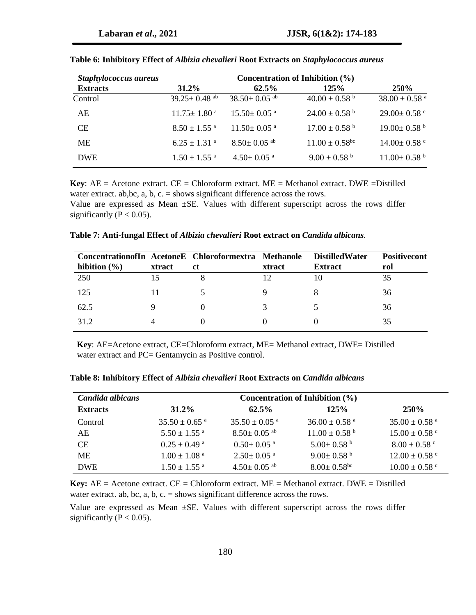| Staphylococcus aureus | Concentration of Inhibition (%) |                               |                                |                               |  |
|-----------------------|---------------------------------|-------------------------------|--------------------------------|-------------------------------|--|
| <b>Extracts</b>       | $31.2\%$                        | $62.5\%$                      | 125%                           | <b>250%</b>                   |  |
| Control               | $39.25 \pm 0.48$ <sup>ab</sup>  | $38.50 \pm 0.05$ ab           | $40.00 \pm 0.58$ b             | $38.00 \pm 0.58$ <sup>a</sup> |  |
| AE                    | $11.75 \pm 1.80$ <sup>a</sup>   | $15.50 \pm 0.05$ <sup>a</sup> | $24.00 \pm 0.58$ <sup>b</sup>  | $29.00 \pm 0.58$ c            |  |
| <b>CE</b>             | $8.50 \pm 1.55$ <sup>a</sup>    | $11.50 \pm 0.05$ <sup>a</sup> | $17.00 \pm 0.58$ <sup>b</sup>  | $19.00 \pm 0.58$ b            |  |
| <b>ME</b>             | $6.25 \pm 1.31$ <sup>a</sup>    | $8.50 \pm 0.05$ <sup>ab</sup> | $11.00 \pm 0.58$ <sup>bc</sup> | $14.00 \pm 0.58$ c            |  |
| <b>DWE</b>            | $1.50 \pm 1.55$ <sup>a</sup>    | $4.50 \pm 0.05$ <sup>a</sup>  | $9.00 \pm 0.58$ b              | $11.00 \pm 0.58$ <sup>b</sup> |  |

|  |  |  | Table 6: Inhibitory Effect of Albizia chevalieri Root Extracts on Staphylococcus aureus |
|--|--|--|-----------------------------------------------------------------------------------------|
|--|--|--|-----------------------------------------------------------------------------------------|

**Key**:  $AE =$  Acetone extract.  $CE =$  Chloroform extract.  $ME =$  Methanol extract. DWE = Distilled water extract. ab, bc, a, b, c.  $=$  shows significant difference across the rows.

Value are expressed as Mean ±SE. Values with different superscript across the rows differ significantly ( $P < 0.05$ ).

| Concentration of In Acetone E Chloroformextra Methanole |        |               |               | <b>DistilledWater</b> | <b>Positivecont</b> |
|---------------------------------------------------------|--------|---------------|---------------|-----------------------|---------------------|
| hibition $(\% )$                                        | xtract | <sub>ct</sub> | <b>xtract</b> | <b>Extract</b>        | rol                 |
| 250                                                     |        |               |               |                       | 35                  |
| 125                                                     |        |               |               |                       | 36                  |
| 62.5                                                    |        |               |               |                       | 36                  |
| 31.2                                                    |        |               |               |                       | 35                  |

**Table 7: Anti-fungal Effect of** *Albizia chevalieri* **Root extract on** *Candida albicans.*

**Key**: AE=Acetone extract, CE=Chloroform extract, ME= Methanol extract, DWE= Distilled water extract and PC= Gentamycin as Positive control.

| Candida albicans | Concentration of Inhibition $(\% )$ |                               |                               |                               |  |  |
|------------------|-------------------------------------|-------------------------------|-------------------------------|-------------------------------|--|--|
| <b>Extracts</b>  | $31.2\%$                            | $62.5\%$                      | 125%                          | <b>250%</b>                   |  |  |
| Control          | $35.50 \pm 0.65$ <sup>a</sup>       | $35.50 \pm 0.05$ <sup>a</sup> | $36.00 \pm 0.58$ <sup>a</sup> | $35.00 \pm 0.58$ <sup>a</sup> |  |  |
| AE               | $5.50 + 1.55$ <sup>a</sup>          | $8.50 \pm 0.05$ ab            | $11.00 \pm 0.58$ <sup>b</sup> | $15.00 \pm 0.58$ c            |  |  |
| СE               | $0.25 \pm 0.49$ <sup>a</sup>        | $0.50+0.05$ <sup>a</sup>      | $5.00 \pm 0.58$ <sup>b</sup>  | $8.00 \pm 0.58$ c             |  |  |
| MЕ               | $1.00 + 1.08$ <sup>a</sup>          | $2.50+0.05$ <sup>a</sup>      | $9.00 \pm 0.58$ <sup>b</sup>  | $12.00 \pm 0.58$ °            |  |  |
| <b>DWE</b>       | $1.50 + 1.55$ <sup>a</sup>          | $4.50 \pm 0.05$ <sup>ab</sup> | $8.00 \pm 0.58$ <sup>bc</sup> | $10.00 \pm 0.58$ c            |  |  |

**Table 8: Inhibitory Effect of** *Albizia chevalieri* **Root Extracts on** *Candida albicans*

**Key:**  $AE =$  Acetone extract.  $CE =$  Chloroform extract.  $ME =$  Methanol extract. DWE = Distilled water extract. ab, bc, a, b, c.  $=$  shows significant difference across the rows.

Value are expressed as Mean ±SE. Values with different superscript across the rows differ significantly ( $P < 0.05$ ).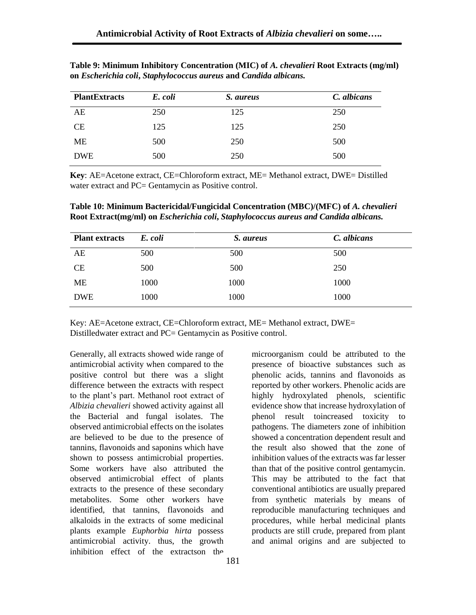| <b>PlantExtracts</b> | E. coli | <i>S. aureus</i> | C. albicans |
|----------------------|---------|------------------|-------------|
| AE                   | 250     | 125              | 250         |
| <b>CE</b>            | 125     | 125              | 250         |
| ME                   | 500     | 250              | 500         |
| <b>DWE</b>           | 500     | 250              | 500         |

**Table 9: Minimum Inhibitory Concentration (MIC) of** *A. chevalieri* **Root Extracts (mg/ml) on** *Escherichia coli***,** *Staphylococcus aureus* **and** *Candida albicans.*

**Key**: AE=Acetone extract, CE=Chloroform extract, ME= Methanol extract, DWE= Distilled water extract and PC= Gentamycin as Positive control.

**Table 10: Minimum Bactericidal/Fungicidal Concentration (MBC)/(MFC) of** *A. chevalieri* **Root Extract(mg/ml) on** *Escherichia coli***,** *Staphylococcus aureus and Candida albicans.*

| <b>Plant extracts</b> | E. coli | S. aureus | C. albicans |
|-----------------------|---------|-----------|-------------|
| AE                    | 500     | 500       | 500         |
| <b>CE</b>             | 500     | 500       | 250         |
| ME                    | 1000    | 1000      | 1000        |
| <b>DWE</b>            | 1000    | 1000      | 1000        |

Key: AE=Acetone extract, CE=Chloroform extract, ME= Methanol extract, DWE= Distilledwater extract and PC= Gentamycin as Positive control.

Generally, all extracts showed wide range of antimicrobial activity when compared to the positive control but there was a slight difference between the extracts with respect to the plant's part. Methanol root extract of *Albizia chevalieri* showed activity against all the Bacterial and fungal isolates. The observed antimicrobial effects on the isolates are believed to be due to the presence of tannins, flavonoids and saponins which have shown to possess antimicrobial properties. Some workers have also attributed the observed antimicrobial effect of plants extracts to the presence of these secondary metabolites. Some other workers have identified, that tannins, flavonoids and alkaloids in the extracts of some medicinal plants example *Euphorbia hirta* possess antimicrobial activity. thus, the growth inhibition effect of the extractson the

microorganism could be attributed to the presence of bioactive substances such as phenolic acids, tannins and flavonoids as reported by other workers. Phenolic acids are highly hydroxylated phenols, scientific evidence show that increase hydroxylation of phenol result toincreased toxicity to pathogens. The diameters zone of inhibition showed a concentration dependent result and the result also showed that the zone of inhibition values of the extracts was far lesser than that of the positive control gentamycin. This may be attributed to the fact that conventional antibiotics are usually prepared from synthetic materials by means of reproducible manufacturing techniques and procedures, while herbal medicinal plants products are still crude, prepared from plant and animal origins and are subjected to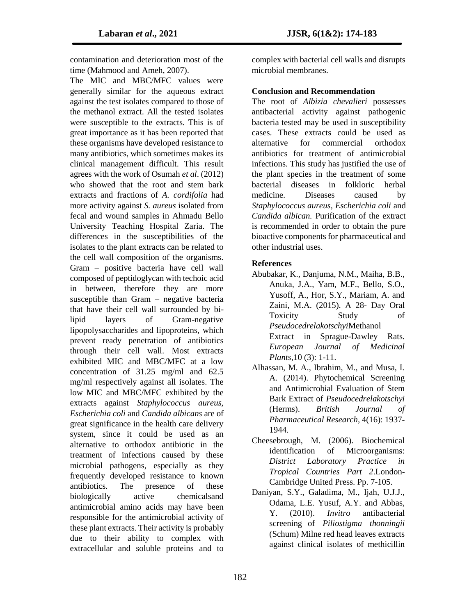contamination and deterioration most of the time (Mahmood and Ameh, 2007).

The MIC and MBC/MFC values were generally similar for the aqueous extract against the test isolates compared to those of the methanol extract. All the tested isolates were susceptible to the extracts. This is of great importance as it has been reported that these organisms have developed resistance to many antibiotics, which sometimes makes its clinical management difficult. This result agrees with the work of Osumah *et al*. (2012) who showed that the root and stem bark extracts and fractions of *A. cordifolia* had more activity against *S. aureus* isolated from fecal and wound samples in Ahmadu Bello University Teaching Hospital Zaria. The differences in the susceptibilities of the isolates to the plant extracts can be related to the cell wall composition of the organisms. Gram – positive bacteria have cell wall composed of peptidoglycan with techoic acid in between, therefore they are more susceptible than Gram – negative bacteria that have their cell wall surrounded by bilipid layers of Gram-negative lipopolysaccharides and lipoproteins, which prevent ready penetration of antibiotics through their cell wall. Most extracts exhibited MIC and MBC/MFC at a low concentration of 31.25 mg/ml and 62.5 mg/ml respectively against all isolates. The low MIC and MBC/MFC exhibited by the extracts against *Staphylococcus aureus, Escherichia coli* and *Candida albicans* are of great significance in the health care delivery system, since it could be used as an alternative to orthodox antibiotic in the treatment of infections caused by these microbial pathogens, especially as they frequently developed resistance to known antibiotics. The presence of these biologically active chemicalsand antimicrobial amino acids may have been responsible for the antimicrobial activity of these plant extracts. Their activity is probably due to their ability to complex with extracellular and soluble proteins and to

complex with bacterial cell walls and disrupts microbial membranes.

#### **Conclusion and Recommendation**

The root of *Albizia chevalieri* possesses antibacterial activity against pathogenic bacteria tested may be used in susceptibility cases. These extracts could be used as alternative for commercial orthodox antibiotics for treatment of antimicrobial infections. This study has justified the use of the plant species in the treatment of some bacterial diseases in folkloric herbal medicine. Diseases caused by *Staphylococcus aureus, Escherichia coli* and *Candida albican.* Purification of the extract is recommended in order to obtain the pure bioactive components for pharmaceutical and other industrial uses.

#### **References**

- Abubakar, K., Danjuma, N.M., Maiha, B.B., Anuka, J.A., Yam, M.F., Bello, S.O., Yusoff, A., Hor, S.Y., Mariam, A. and Zaini, M.A. (2015). A 28- Day Oral Toxicity Study of *Pseudocedrelakotschyi*Methanol Extract in Sprague-Dawley Rats. *European Journal of Medicinal Plants*,10 (3): 1-11.
- Alhassan, M. A., Ibrahim, M., and Musa, I. A. (2014). Phytochemical Screening and Antimicrobial Evaluation of Stem Bark Extract of *Pseudocedrelakotschyi* (Herms). *British Journal of Pharmaceutical Research*, 4(16): 1937- 1944.
- Cheesebrough, M. (2006). Biochemical identification of Microorganisms: *District Laboratory Practice in Tropical Countries Part 2*.London-Cambridge United Press. Pp. 7-105.
- Daniyan, S.Y., Galadima, M., Ijah, U.J.J., Odama, L.E. Yusuf, A.Y. and Abbas, Y. (2010). *Invitro* antibacterial screening of *Piliostigma thonningii* (Schum) Milne red head leaves extracts against clinical isolates of methicillin